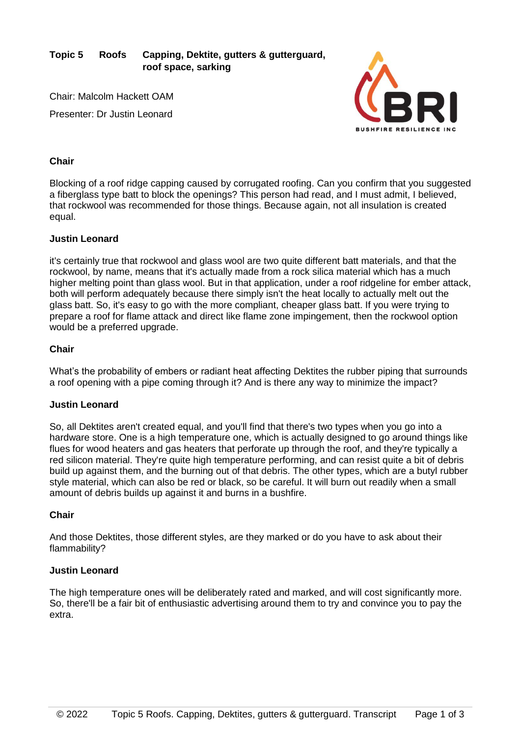**Topic 5 Roofs Capping, Dektite, gutters & gutterguard, roof space, sarking**

Chair: Malcolm Hackett OAM Presenter: Dr Justin Leonard



## **Chair**

Blocking of a roof ridge capping caused by corrugated roofing. Can you confirm that you suggested a fiberglass type batt to block the openings? This person had read, and I must admit, I believed, that rockwool was recommended for those things. Because again, not all insulation is created equal.

## **Justin Leonard**

it's certainly true that rockwool and glass wool are two quite different batt materials, and that the rockwool, by name, means that it's actually made from a rock silica material which has a much higher melting point than glass wool. But in that application, under a roof ridgeline for ember attack, both will perform adequately because there simply isn't the heat locally to actually melt out the glass batt. So, it's easy to go with the more compliant, cheaper glass batt. If you were trying to prepare a roof for flame attack and direct like flame zone impingement, then the rockwool option would be a preferred upgrade.

## **Chair**

What's the probability of embers or radiant heat affecting Dektites the rubber piping that surrounds a roof opening with a pipe coming through it? And is there any way to minimize the impact?

## **Justin Leonard**

So, all Dektites aren't created equal, and you'll find that there's two types when you go into a hardware store. One is a high temperature one, which is actually designed to go around things like flues for wood heaters and gas heaters that perforate up through the roof, and they're typically a red silicon material. They're quite high temperature performing, and can resist quite a bit of debris build up against them, and the burning out of that debris. The other types, which are a butyl rubber style material, which can also be red or black, so be careful. It will burn out readily when a small amount of debris builds up against it and burns in a bushfire.

## **Chair**

And those Dektites, those different styles, are they marked or do you have to ask about their flammability?

## **Justin Leonard**

The high temperature ones will be deliberately rated and marked, and will cost significantly more. So, there'll be a fair bit of enthusiastic advertising around them to try and convince you to pay the extra.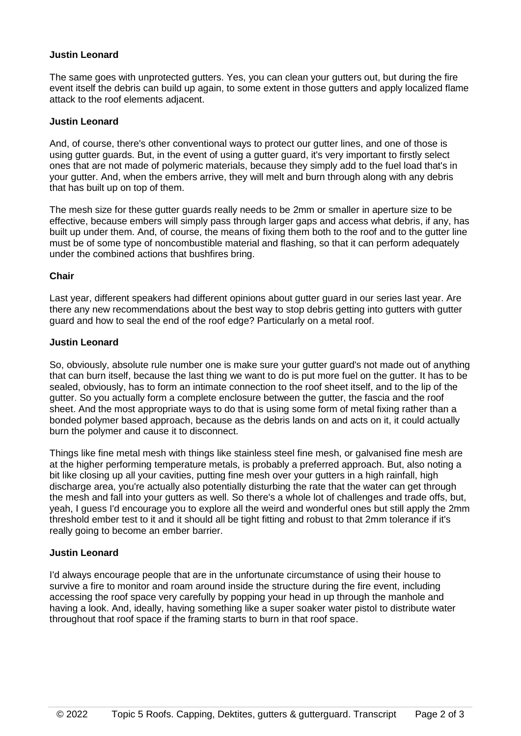## **Justin Leonard**

The same goes with unprotected gutters. Yes, you can clean your gutters out, but during the fire event itself the debris can build up again, to some extent in those gutters and apply localized flame attack to the roof elements adjacent.

## **Justin Leonard**

And, of course, there's other conventional ways to protect our gutter lines, and one of those is using gutter guards. But, in the event of using a gutter guard, it's very important to firstly select ones that are not made of polymeric materials, because they simply add to the fuel load that's in your gutter. And, when the embers arrive, they will melt and burn through along with any debris that has built up on top of them.

The mesh size for these gutter guards really needs to be 2mm or smaller in aperture size to be effective, because embers will simply pass through larger gaps and access what debris, if any, has built up under them. And, of course, the means of fixing them both to the roof and to the gutter line must be of some type of noncombustible material and flashing, so that it can perform adequately under the combined actions that bushfires bring.

## **Chair**

Last year, different speakers had different opinions about gutter guard in our series last year. Are there any new recommendations about the best way to stop debris getting into gutters with gutter guard and how to seal the end of the roof edge? Particularly on a metal roof.

#### **Justin Leonard**

So, obviously, absolute rule number one is make sure your gutter guard's not made out of anything that can burn itself, because the last thing we want to do is put more fuel on the gutter. It has to be sealed, obviously, has to form an intimate connection to the roof sheet itself, and to the lip of the gutter. So you actually form a complete enclosure between the gutter, the fascia and the roof sheet. And the most appropriate ways to do that is using some form of metal fixing rather than a bonded polymer based approach, because as the debris lands on and acts on it, it could actually burn the polymer and cause it to disconnect.

Things like fine metal mesh with things like stainless steel fine mesh, or galvanised fine mesh are at the higher performing temperature metals, is probably a preferred approach. But, also noting a bit like closing up all your cavities, putting fine mesh over your gutters in a high rainfall, high discharge area, you're actually also potentially disturbing the rate that the water can get through the mesh and fall into your gutters as well. So there's a whole lot of challenges and trade offs, but, yeah, I guess I'd encourage you to explore all the weird and wonderful ones but still apply the 2mm threshold ember test to it and it should all be tight fitting and robust to that 2mm tolerance if it's really going to become an ember barrier.

## **Justin Leonard**

I'd always encourage people that are in the unfortunate circumstance of using their house to survive a fire to monitor and roam around inside the structure during the fire event, including accessing the roof space very carefully by popping your head in up through the manhole and having a look. And, ideally, having something like a super soaker water pistol to distribute water throughout that roof space if the framing starts to burn in that roof space.